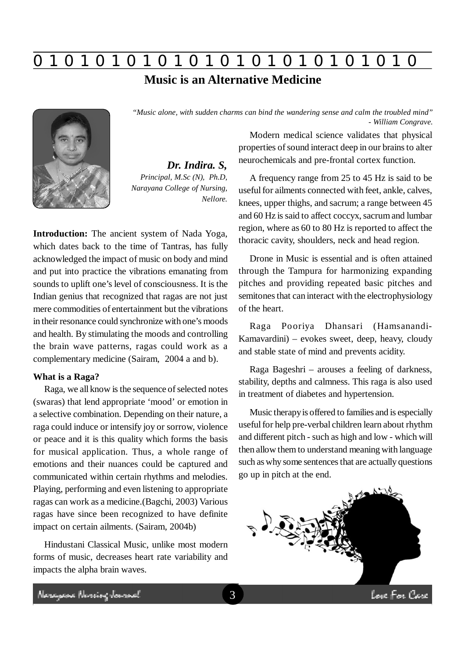# **0 z 0 z 0 z 0 z 0 z 0 z 0 z 0 z 0 z 0 z 0 z 0 z 0**

## **Music is an Alternative Medicine**

*"Music alone, with sudden charms can bind the wandering sense and calm the troubled mind"*



*Dr. Indira. S, Principal, M.Sc (N), Ph.D, Narayana College of Nursing, Nellore.*

**Introduction:** The ancient system of Nada Yoga, which dates back to the time of Tantras, has fully acknowledged the impact of music on body and mind and put into practice the vibrations emanating from sounds to uplift one's level of consciousness. It is the Indian genius that recognized that ragas are not just mere commodities of entertainment but the vibrations in their resonance could synchronize with one's moods and health. By stimulating the moods and controlling the brain wave patterns, ragas could work as a complementary medicine (Sairam, 2004 a and b).

### **What is a Raga?**

Raga, we all know is the sequence of selected notes (swaras) that lend appropriate 'mood' or emotion in a selective combination. Depending on their nature, a raga could induce or intensify joy or sorrow, violence or peace and it is this quality which forms the basis for musical application. Thus, a whole range of emotions and their nuances could be captured and communicated within certain rhythms and melodies. Playing, performing and even listening to appropriate ragas can work as a medicine.(Bagchi, 2003) Various ragas have since been recognized to have definite impact on certain ailments. (Sairam, 2004b)

Hindustani Classical Music, unlike most modern forms of music, decreases heart rate variability and impacts the alpha brain waves.

Modern medical science validates that physical properties of sound interact deep in our brains to alter neurochemicals and pre-frontal cortex function.

*- William Congrave.*

A frequency range from 25 to 45 Hz is said to be useful for ailments connected with feet, ankle, calves, knees, upper thighs, and sacrum; a range between 45 and 60 Hz is said to affect coccyx, sacrum and lumbar region, where as 60 to 80 Hz is reported to affect the thoracic cavity, shoulders, neck and head region.

Drone in Music is essential and is often attained through the Tampura for harmonizing expanding pitches and providing repeated basic pitches and semitones that can interact with the electrophysiology of the heart.

Raga Pooriya Dhansari (Hamsanandi-Kamavardini) – evokes sweet, deep, heavy, cloudy and stable state of mind and prevents acidity.

Raga Bageshri – arouses a feeling of darkness, stability, depths and calmness. This raga is also used in treatment of diabetes and hypertension.

Music therapy is offered to families and is especially useful for help pre-verbal children learn about rhythm and different pitch - such as high and low - which will then allow them to understand meaning with language such as why some sentences that are actually questions go up in pitch at the end.



Neregewe Nereing Journal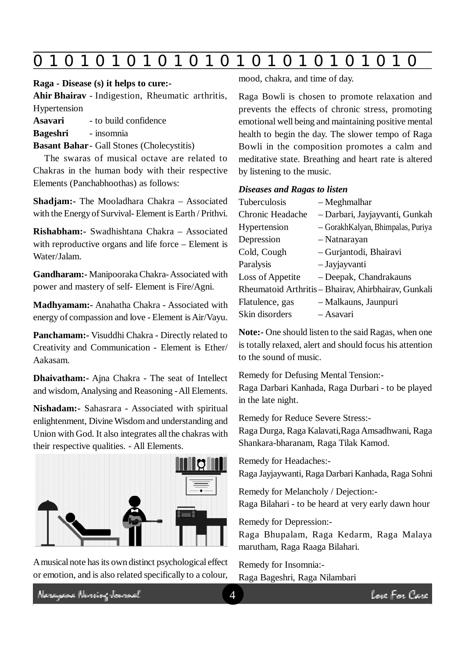|--|--|--|--|--|--|--|--|--|--|--|--|--|--|

#### **Raga - Disease (s) it helps to cure:-**

**Ahir Bhairav** - Indigestion, Rheumatic arthritis, Hypertension

**Asavari** - to build confidence

**Bageshri** - insomnia

**Basant Bahar**- Gall Stones (Cholecystitis)

The swaras of musical octave are related to Chakras in the human body with their respective Elements (Panchabhoothas) as follows:

**Shadjam:-** The Mooladhara Chakra – Associated with the Energy of Survival- Element is Earth / Prithvi.

**Rishabham:-** Swadhishtana Chakra – Associated with reproductive organs and life force – Element is Water/Jalam.

**Gandharam:-** Manipooraka Chakra- Associated with power and mastery of self- Element is Fire/Agni.

**Madhyamam:-** Anahatha Chakra - Associated with energy of compassion and love - Element is Air/Vayu.

**Panchamam:-** Visuddhi Chakra - Directly related to Creativity and Communication - Element is Ether/ Aakasam.

**Dhaivatham:-** Ajna Chakra - The seat of Intellect and wisdom, Analysing and Reasoning - All Elements.

**Nishadam:-** Sahasrara - Associated with spiritual enlightenment, Divine Wisdom and understanding and Union with God. It also integrates all the chakras with their respective qualities. - All Elements.



A musical note has its own distinct psychological effect or emotion, and is also related specifically to a colour,

mood, chakra, and time of day.

Raga Bowli is chosen to promote relaxation and prevents the effects of chronic stress, promoting emotional well being and maintaining positive mental health to begin the day. The slower tempo of Raga Bowli in the composition promotes a calm and meditative state. Breathing and heart rate is altered by listening to the music.

### *Diseases and Ragas to listen*

| Tuberculosis     | - Meghmalhar                                         |
|------------------|------------------------------------------------------|
| Chronic Headache | - Darbari, Jayjayvanti, Gunkah                       |
| Hypertension     | - Gorakh Kalyan, Bhimpalas, Puriya                   |
| Depression       | - Natnarayan                                         |
| Cold, Cough      | - Gurjantodi, Bhairavi                               |
| Paralysis        | - Jayjayvanti                                        |
| Loss of Appetite | - Deepak, Chandrakauns                               |
|                  | Rheumatoid Arthritis - Bhairav, Ahirbhairav, Gunkali |
| Flatulence, gas  | - Malkauns, Jaunpuri                                 |
| Skin disorders   | – Asavari                                            |
|                  |                                                      |

**Note:-** One should listen to the said Ragas, when one is totally relaxed, alert and should focus his attention to the sound of music.

Remedy for Defusing Mental Tension:- Raga Darbari Kanhada, Raga Durbari - to be played in the late night.

Remedy for Reduce Severe Stress:-

Raga Durga, Raga Kalavati,Raga Amsadhwani, Raga Shankara-bharanam, Raga Tilak Kamod.

Remedy for Headaches:-

Raga Jayjaywanti, Raga Darbari Kanhada, Raga Sohni

Remedy for Melancholy / Dejection:-

Raga Bilahari - to be heard at very early dawn hour

Remedy for Depression:-

Raga Bhupalam, Raga Kedarm, Raga Malaya marutham, Raga Raaga Bilahari.

Remedy for Insomnia:- Raga Bageshri, Raga Nilambari

Neregeae Nereing Januard